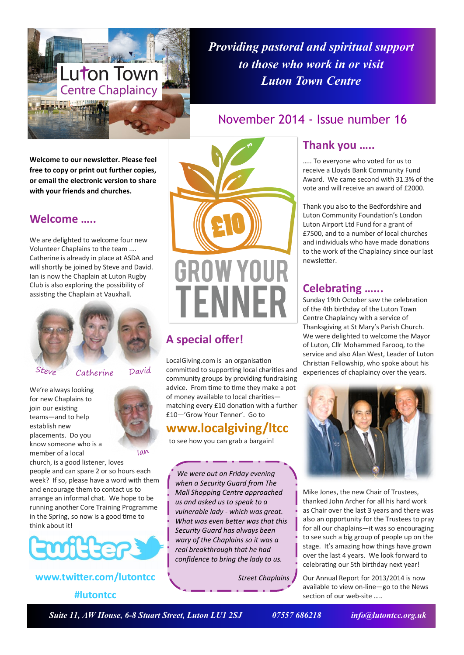

*Providing pastoral and spiritual support to those who work in or visit Luton Town Centre*

November 2014 - Issue number 16

**Welcome to our newsletter. Please feel free to copy or print out further copies, or email the electronic version to share with your friends and churches.**

### **Welcome …..**

We are delighted to welcome four new Volunteer Chaplains to the team .... Catherine is already in place at ASDA and will shortly be joined by Steve and David. Ian is now the Chaplain at Luton Rugby Club is also exploring the possibility of assisting the Chaplain at Vauxhall.





David

We're always looking for new Chaplains to join our existing teams—and to help establish new placements. Do you know someone who is a member of a local



church, is a good listener, loves people and can spare 2 or so hours each week? If so, please have a word with them and encourage them to contact us to arrange an informal chat. We hope to be running another Core Training Programme in the Spring, so now is a good time to think about it!



**www.twitter.com/lutontcc**

### **#lutontcc**

**GROW YOUR** TFNNFR

# **A special offer!**

LocalGiving.com is an organisation committed to supporting local charities and community groups by providing fundraising advice. From time to time they make a pot of money available to local charities matching every £10 donation with a further £10—'Grow Your Tenner'. Go to

# **www.localgiving/ltcc**

to see how you can grab a bargain!

*We were out on Friday evening when a Security Guard from The Mall Shopping Centre approached us and asked us to speak to a vulnerable lady - which was great. What was even better was that this Security Guard has always been wary of the Chaplains so it was a real breakthrough that he had confidence to bring the lady to us.*

*Street Chaplains*

## **Thank you …..**

….. To everyone who voted for us to receive a Lloyds Bank Community Fund Award. We came second with 31.3% of the vote and will receive an award of £2000.

Thank you also to the Bedfordshire and Luton Community Foundation's London Luton Airport Ltd Fund for a grant of £7500, and to a number of local churches and individuals who have made donations to the work of the Chaplaincy since our last newsletter.

## **Celebrating …...**

Sunday 19th October saw the celebration of the 4th birthday of the Luton Town Centre Chaplaincy with a service of Thanksgiving at St Mary's Parish Church. We were delighted to welcome the Mayor of Luton, Cllr Mohammed Farooq, to the service and also Alan West, Leader of Luton Christian Fellowship, who spoke about his experiences of chaplaincy over the years.



Mike Jones, the new Chair of Trustees, thanked John Archer for all his hard work as Chair over the last 3 years and there was also an opportunity for the Trustees to pray for all our chaplains—it was so encouraging to see such a big group of people up on the stage. It's amazing how things have grown over the last 4 years. We look forward to celebrating our 5th birthday next year!

Our Annual Report for 2013/2014 is now available to view on-line—go to the News section of our web-site …..

 *Suite 11, AW House, 6-8 Stuart Street, Luton LU1 2SJ 07557 686218 info@lutontcc.org.uk*